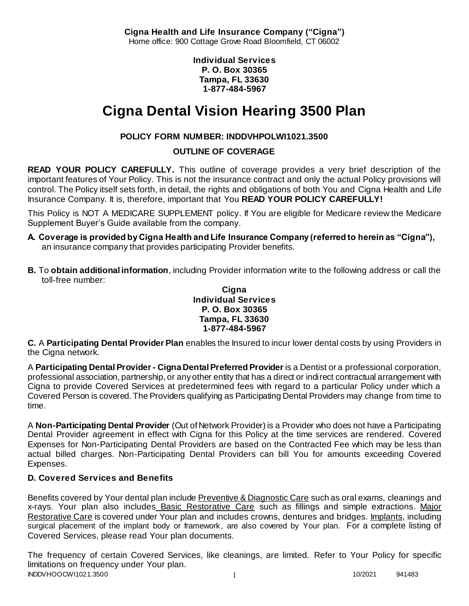**Cigna Health and Life Insurance Company ("Cigna")** Home office: 900 Cottage Grove Road Bloomfield, CT 06002

> **Individual Services P. O. Box 30365 Tampa, FL 33630 1-877-484-5967**

# **Cigna Dental Vision Hearing 3500 Plan**

# **POLICY FORM NUMBER: INDDVHPOLWI1021.3500**

**OUTLINE OF COVERAGE** 

**READ YOUR POLICY CAREFULLY.** This outline of coverage provides a very brief description of the important features of Your Policy. This is not the insurance contract and only the actual Policy provisions will control. The Policy itself sets forth, in detail, the rights and obligations of both You and Cigna Health and Life Insurance Company. It is, therefore, important that You **READ YOUR POLICY CAREFULLY!** 

This Policy is NOT A MEDICARE SUPPLEMENT policy. If You are eligible for Medicare review the Medicare Supplement Buyer's Guide available from the company.

- **A. Coverage is provided by Cigna Health and Life Insurance Company (referred to herein as "Cigna"),**  an insurance company that provides participating Provider benefits.
- **B.** To **obtain additional information**, including Provider information write to the following address or call the toll-free number:

#### **Cigna Individual Services P. O. Box 30365 Tampa, FL 33630 1-877-484-5967**

**C.** A **Participating Dental Provider Plan** enables the Insured to incur lower dental costs by using Providers in the Cigna network.

A **Participating Dental Provider - Cigna Dental Preferred Provider** is a Dentist or a professional corporation, professional association, partnership, or any other entity that has a direct or indirect contractual arrangement with Cigna to provide Covered Services at predetermined fees with regard to a particular Policy under which a Covered Person is covered. The Providers qualifying as Participating Dental Providers may change from time to time.

A **Non-Participating Dental Provider** (Out of Network Provider) is a Provider who does not have a Participating Dental Provider agreement in effect with Cigna for this Policy at the time services are rendered. Covered Expenses for Non-Participating Dental Providers are based on the Contracted Fee which may be less than actual billed charges. Non-Participating Dental Providers can bill You for amounts exceeding Covered Expenses.

# **D. Covered Services and Benefits**

Benefits covered by Your dental plan include Preventive & Diagnostic Care such as oral exams, cleanings and x-rays. Your plan also includes Basic Restorative Care such as fillings and simple extractions. Major Restorative Care is covered under Your plan and includes crowns, dentures and bridges. Implants, including surgical placement of the implant body or framework, are also covered by Your plan. For a complete listing of Covered Services, please read Your plan documents.

INDDVHOOCWI1021.3500 1 10/2021 941483 The frequency of certain Covered Services, like cleanings, are limited. Refer to Your Policy for specific limitations on frequency under Your plan.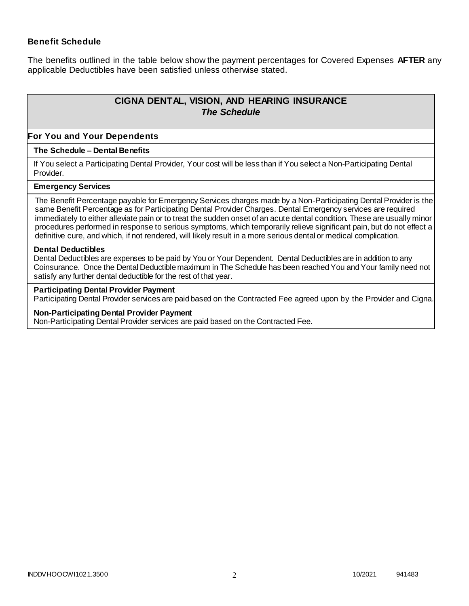### **Benefit Schedule**

The benefits outlined in the table below show the payment percentages for Covered Expenses **AFTER** any applicable Deductibles have been satisfied unless otherwise stated.

# **CIGNA DENTAL, VISION, AND HEARING INSURANCE** *The Schedule*

#### **For You and Your Dependents**

#### **The Schedule – Dental Benefits**

If You select a Participating Dental Provider, Your cost will be less than if You select a Non-Participating Dental Provider.

#### **Emergency Services**

The Benefit Percentage payable for Emergency Services charges made by a Non-Participating Dental Provider is the same Benefit Percentage as for Participating Dental Provider Charges. Dental Emergency services are required immediately to either alleviate pain or to treat the sudden onset of an acute dental condition. These are usually minor procedures performed in response to serious symptoms, which temporarily relieve significant pain, but do not effect a definitive cure, and which, if not rendered, will likely result in a more serious dental or medical complication.

#### **Dental Deductibles**

Dental Deductibles are expenses to be paid by You or Your Dependent. Dental Deductibles are in addition to any Coinsurance. Once the Dental Deductible maximum in The Schedule has been reached You and Your family need not satisfy any further dental deductible for the rest of that year.

#### **Participating Dental Provider Payment**

Participating Dental Provider services are paid based on the Contracted Fee agreed upon by the Provider and Cigna.

#### **Non-Participating Dental Provider Payment**

Non-Participating Dental Provider services are paid based on the Contracted Fee.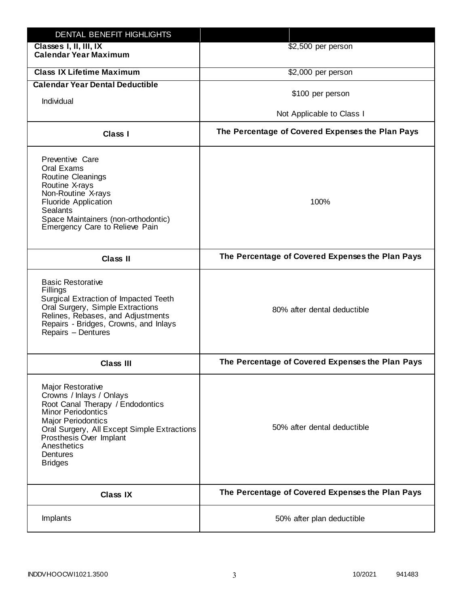| DENTAL BENEFIT HIGHLIGHTS                                                                                                                                                                                                                                                 |                                                  |
|---------------------------------------------------------------------------------------------------------------------------------------------------------------------------------------------------------------------------------------------------------------------------|--------------------------------------------------|
| Classes I, II, III, IX<br><b>Calendar Year Maximum</b>                                                                                                                                                                                                                    | \$2,500 per person                               |
| <b>Class IX Lifetime Maximum</b>                                                                                                                                                                                                                                          | \$2,000 per person                               |
| <b>Calendar Year Dental Deductible</b>                                                                                                                                                                                                                                    |                                                  |
| Individual                                                                                                                                                                                                                                                                | \$100 per person                                 |
|                                                                                                                                                                                                                                                                           | Not Applicable to Class I                        |
| Class I                                                                                                                                                                                                                                                                   | The Percentage of Covered Expenses the Plan Pays |
| Preventive Care<br>Oral Exams<br><b>Routine Cleanings</b><br>Routine X-rays<br>Non-Routine X-rays<br><b>Fluoride Application</b><br><b>Sealants</b><br>Space Maintainers (non-orthodontic)<br>Emergency Care to Relieve Pain                                              | 100%                                             |
| <b>Class II</b>                                                                                                                                                                                                                                                           | The Percentage of Covered Expenses the Plan Pays |
| <b>Basic Restorative</b><br>Fillings<br>Surgical Extraction of Impacted Teeth<br>Oral Surgery, Simple Extractions<br>Relines, Rebases, and Adjustments<br>Repairs - Bridges, Crowns, and Inlays<br>Repairs - Dentures                                                     | 80% after dental deductible                      |
| <b>Class III</b>                                                                                                                                                                                                                                                          | The Percentage of Covered Expenses the Plan Pays |
| <b>Major Restorative</b><br>Crowns / Inlays / Onlays<br>Root Canal Therapy / Endodontics<br><b>Minor Periodontics</b><br><b>Major Periodontics</b><br>Oral Surgery, All Except Simple Extractions<br>Prosthesis Over Implant<br>Anesthetics<br>Dentures<br><b>Bridges</b> | 50% after dental deductible                      |
| <b>Class IX</b>                                                                                                                                                                                                                                                           | The Percentage of Covered Expenses the Plan Pays |
| Implants                                                                                                                                                                                                                                                                  | 50% after plan deductible                        |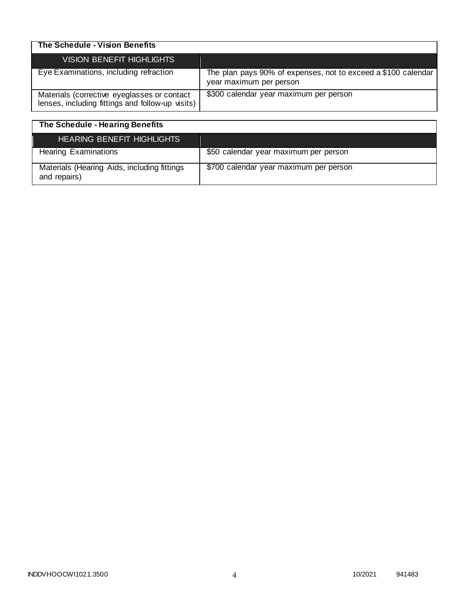| The Schedule - Vision Benefits                                                                  |                                                                                          |
|-------------------------------------------------------------------------------------------------|------------------------------------------------------------------------------------------|
| <b>VISION BENEFIT HIGHLIGHTS</b>                                                                |                                                                                          |
| Eye Examinations, including refraction                                                          | The plan pays 90% of expenses, not to exceed a \$100 calendar<br>year maximum per person |
| Materials (corrective eyeglasses or contact<br>lenses, including fittings and follow-up visits) | \$300 calendar year maximum per person                                                   |

| The Schedule - Hearing Benefits                             |                                        |
|-------------------------------------------------------------|----------------------------------------|
| <b>HEARING BENEFIT HIGHLIGHTS</b>                           |                                        |
| <b>Hearing Examinations</b>                                 | \$50 calendar year maximum per person  |
| Materials (Hearing Aids, including fittings<br>and repairs) | \$700 calendar year maximum per person |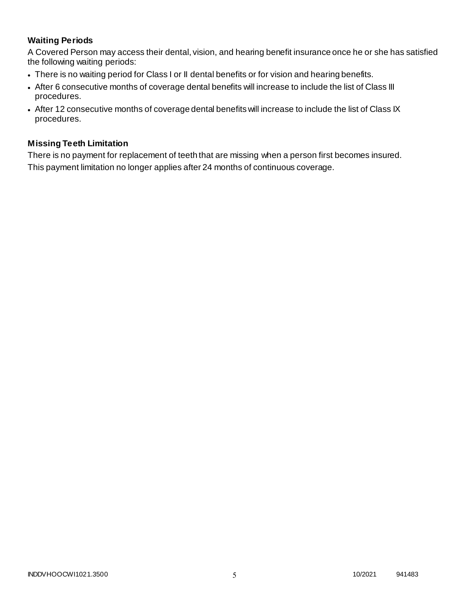# **Waiting Periods**

A Covered Person may access their dental, vision, and hearing benefit insurance once he or she has satisfied the following waiting periods:

- There is no waiting period for Class I or II dental benefits or for vision and hearing benefits.
- After 6 consecutive months of coverage dental benefits will increase to include the list of Class III procedures.
- After 12 consecutive months of coverage dental benefits will increase to include the list of Class IX procedures.

# **Missing Teeth Limitation**

There is no payment for replacement of teeth that are missing when a person first becomes insured. This payment limitation no longer applies after 24 months of continuous coverage.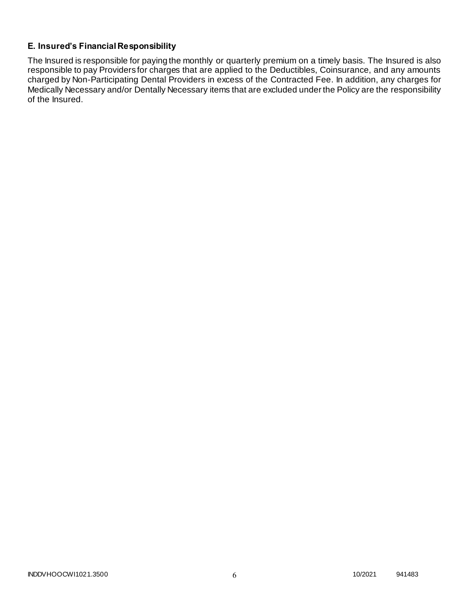# **E. Insured's Financial Responsibility**

The Insured is responsible for paying the monthly or quarterly premium on a timely basis. The Insured is also responsible to pay Providers for charges that are applied to the Deductibles, Coinsurance, and any amounts charged by Non-Participating Dental Providers in excess of the Contracted Fee. In addition, any charges for Medically Necessary and/or Dentally Necessary items that are excluded under the Policy are the responsibility of the Insured.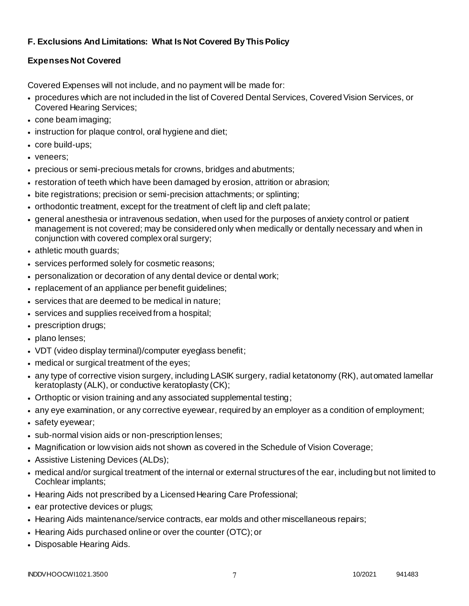# **F. Exclusions And Limitations: What Is Not Covered By This Policy**

# **Expenses Not Covered**

Covered Expenses will not include, and no payment will be made for:

- procedures which are not included in the list of Covered Dental Services, Covered Vision Services, or Covered Hearing Services;
- cone beam imaging;
- instruction for plaque control, oral hygiene and diet;
- core build-ups;
- veneers;
- precious or semi-precious metals for crowns, bridges and abutments;
- restoration of teeth which have been damaged by erosion, attrition or abrasion;
- bite registrations; precision or semi-precision attachments; or splinting;
- orthodontic treatment, except for the treatment of cleft lip and cleft palate;
- general anesthesia or intravenous sedation, when used for the purposes of anxiety control or patient management is not covered; may be considered only when medically or dentally necessary and when in conjunction with covered complex oral surgery;
- athletic mouth guards;
- services performed solely for cosmetic reasons;
- personalization or decoration of any dental device or dental work;
- replacement of an appliance per benefit guidelines;
- services that are deemed to be medical in nature;
- services and supplies received from a hospital;
- prescription drugs;
- plano lenses;
- VDT (video display terminal)/computer eyeglass benefit;
- medical or surgical treatment of the eyes;
- any type of corrective vision surgery, including LASIK surgery, radial ketatonomy (RK), automated lamellar keratoplasty (ALK), or conductive keratoplasty (CK);
- Orthoptic or vision training and any associated supplemental testing;
- any eye examination, or any corrective eyewear, required by an employer as a condition of employment;
- safety eyewear;
- sub-normal vision aids or non-prescription lenses;
- Magnification or low vision aids not shown as covered in the Schedule of Vision Coverage;
- Assistive Listening Devices (ALDs);
- medical and/or surgical treatment of the internal or external structures of the ear, including but not limited to Cochlear implants;
- Hearing Aids not prescribed by a Licensed Hearing Care Professional;
- ear protective devices or plugs;
- Hearing Aids maintenance/service contracts, ear molds and other miscellaneous repairs;
- Hearing Aids purchased online or over the counter (OTC); or
- Disposable Hearing Aids.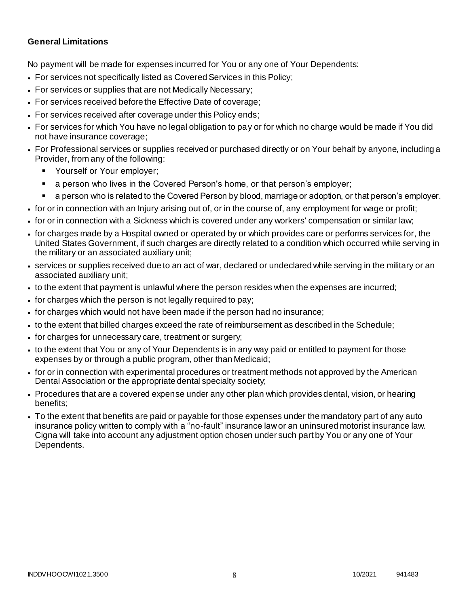# **General Limitations**

No payment will be made for expenses incurred for You or any one of Your Dependents:

- For services not specifically listed as Covered Services in this Policy;
- For services or supplies that are not Medically Necessary;
- For services received before the Effective Date of coverage;
- For services received after coverage under this Policy ends;
- For services for which You have no legal obligation to pay or for which no charge would be made if You did not have insurance coverage;
- For Professional services or supplies received or purchased directly or on Your behalf by anyone, including a Provider, from any of the following:
	- Yourself or Your employer;
	- a person who lives in the Covered Person's home, or that person's employer;
	- a person who is related to the Covered Person by blood, marriage or adoption, or that person's employer.
- for or in connection with an Injury arising out of, or in the course of, any employment for wage or profit;
- for or in connection with a Sickness which is covered under any workers' compensation or similar law;
- for charges made by a Hospital owned or operated by or which provides care or performs services for, the United States Government, if such charges are directly related to a condition which occurred while serving in the military or an associated auxiliary unit;
- services or supplies received due to an act of war, declared or undeclared while serving in the military or an associated auxiliary unit;
- to the extent that payment is unlawful where the person resides when the expenses are incurred;
- for charges which the person is not legally required to pay;
- for charges which would not have been made if the person had no insurance;
- to the extent that billed charges exceed the rate of reimbursement as described in the Schedule;
- for charges for unnecessary care, treatment or surgery;
- to the extent that You or any of Your Dependents is in any way paid or entitled to payment for those expenses by or through a public program, other than Medicaid;
- for or in connection with experimental procedures or treatment methods not approved by the American Dental Association or the appropriate dental specialty society;
- Procedures that are a covered expense under any other plan which provides dental, vision, or hearing benefits;
- To the extent that benefits are paid or payable for those expenses under the mandatory part of any auto insurance policy written to comply with a "no-fault" insurance law or an uninsured motorist insurance law. Cigna will take into account any adjustment option chosen under such part by You or any one of Your Dependents.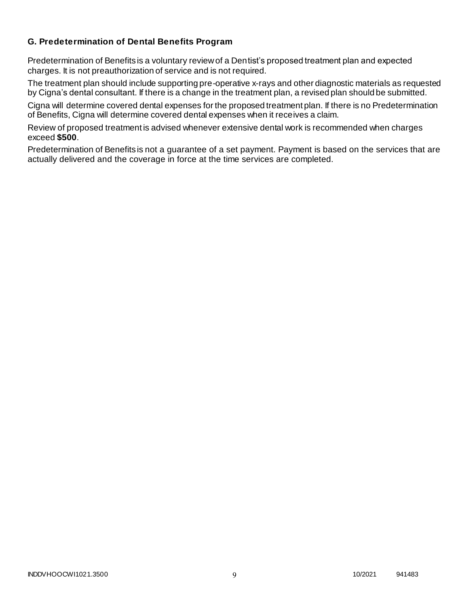# **G. Predetermination of Dental Benefits Program**

Predetermination of Benefits is a voluntary review of a Dentist's proposed treatment plan and expected charges. It is not preauthorization of service and is not required.

The treatment plan should include supporting pre-operative x-rays and other diagnostic materials as requested by Cigna's dental consultant. If there is a change in the treatment plan, a revised plan should be submitted.

Cigna will determine covered dental expenses for the proposed treatment plan. If there is no Predetermination of Benefits, Cigna will determine covered dental expenses when it receives a claim.

Review of proposed treatment is advised whenever extensive dental work is recommended when charges exceed **\$500**.

Predetermination of Benefits is not a guarantee of a set payment. Payment is based on the services that are actually delivered and the coverage in force at the time services are completed.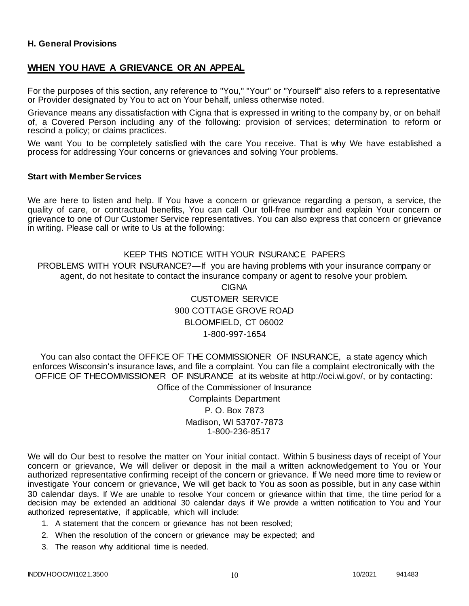### **H. General Provisions**

### **WHEN YOU HAVE A GRIEVANCE OR AN APPEAL**

For the purposes of this section, any reference to "You," "Your" or "Yourself" also refers to a representative or Provider designated by You to act on Your behalf, unless otherwise noted.

Grievance means any dissatisfaction with Cigna that is expressed in writing to the company by, or on behalf of, a Covered Person including any of the following: provision of services; determination to reform or rescind a policy; or claims practices.

We want You to be completely satisfied with the care You receive. That is why We have established a process for addressing Your concerns or grievances and solving Your problems.

#### **Start with Member Services**

We are here to listen and help. If You have a concern or grievance regarding a person, a service, the quality of care, or contractual benefits, You can call Our toll-free number and explain Your concern or grievance to one of Our Customer Service representatives. You can also express that concern or grievance in writing. Please call or write to Us at the following:

### KEEP THIS NOTICE WITH YOUR INSURANCE PAPERS

PROBLEMS WITH YOUR INSURANCE?—If you are having problems with your insurance company or agent, do not hesitate to contact the insurance company or agent to resolve your problem.

> CIGNA CUSTOMER SERVICE 900 COTTAGE GROVE ROAD BLOOMFIELD, CT 06002 1-800-997-1654

You can also contact the OFFICE OF THE COMMISSIONER OF INSURANCE, a state agency which enforces Wisconsin's insurance laws, and file a complaint. You can file a complaint electronically with the OFFICE OF THECOMMISSIONER OF INSURANCE at its website at http://oci.wi.gov/, or by contacting: Office of the Commissioner of Insurance

> Complaints Department P. O. Box 7873 Madison, WI 53707-7873 1-800-236-8517

We will do Our best to resolve the matter on Your initial contact. Within 5 business days of receipt of Your concern or grievance, We will deliver or deposit in the mail a written acknowledgement to You or Your authorized representative confirming receipt of the concern or grievance. If We need more time to review or investigate Your concern or grievance, We will get back to You as soon as possible, but in any case within 30 calendar days. If We are unable to resolve Your concern or grievance within that time, the time period for a decision may be extended an additional 30 calendar days if We provide a written notification to You and Your authorized representative, if applicable, which will include:

- 1. A statement that the concern or grievance has not been resolved;
- 2. When the resolution of the concern or grievance may be expected; and
- 3. The reason why additional time is needed.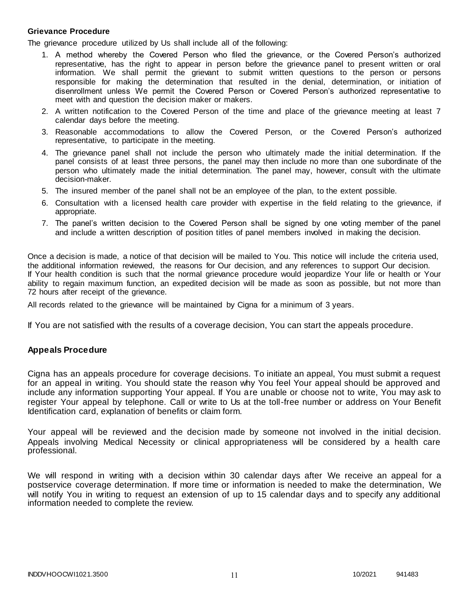#### **Grievance Procedure**

The grievance procedure utilized by Us shall include all of the following:

- 1. A method whereby the Covered Person who filed the grievance, or the Covered Person's authorized representative, has the right to appear in person before the grievance panel to present written or oral information. We shall permit the grievant to submit written questions to the person or persons responsible for making the determination that resulted in the denial, determination, or initiation of disenrollment unless We permit the Covered Person or Covered Person's authorized representative to meet with and question the decision maker or makers.
- 2. A written notification to the Covered Person of the time and place of the grievance meeting at least 7 calendar days before the meeting.
- 3. Reasonable accommodations to allow the Covered Person, or the Covered Person's authorized representative, to participate in the meeting.
- 4. The grievance panel shall not include the person who ultimately made the initial determination. If the panel consists of at least three persons, the panel may then include no more than one subordinate of the person who ultimately made the initial determination. The panel may, however, consult with the ultimate decision-maker.
- 5. The insured member of the panel shall not be an employee of the plan, to the extent possible.
- 6. Consultation with a licensed health care provider with expertise in the field relating to the grievance, if appropriate.
- 7. The panel's written decision to the Covered Person shall be signed by one voting member of the panel and include a written description of position titles of panel members involved in making the decision.

Once a decision is made, a notice of that decision will be mailed to You. This notice will include the criteria used, the additional information reviewed, the reasons for Our decision, and any references to support Our decision. If Your health condition is such that the normal grievance procedure would jeopardize Your life or health or Your ability to regain maximum function, an expedited decision will be made as soon as possible, but not more than 72 hours after receipt of the grievance.

All records related to the grievance will be maintained by Cigna for a minimum of 3 years.

If You are not satisfied with the results of a coverage decision, You can start the appeals procedure.

### **Appeals Procedure**

Cigna has an appeals procedure for coverage decisions. To initiate an appeal, You must submit a request for an appeal in writing. You should state the reason why You feel Your appeal should be approved and include any information supporting Your appeal. If You are unable or choose not to write, You may ask to register Your appeal by telephone. Call or write to Us at the toll-free number or address on Your Benefit Identification card, explanation of benefits or claim form.

Your appeal will be reviewed and the decision made by someone not involved in the initial decision. Appeals involving Medical Necessity or clinical appropriateness will be considered by a health care professional.

We will respond in writing with a decision within 30 calendar days after We receive an appeal for a postservice coverage determination. If more time or information is needed to make the determination, We will notify You in writing to request an extension of up to 15 calendar days and to specify any additional information needed to complete the review.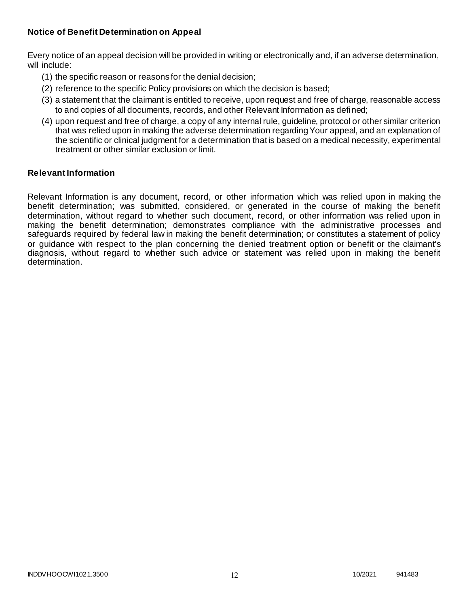# **Notice of Benefit Determination on Appeal**

Every notice of an appeal decision will be provided in writing or electronically and, if an adverse determination, will include:

- (1) the specific reason or reasons for the denial decision;
- (2) reference to the specific Policy provisions on which the decision is based;
- (3) a statement that the claimant is entitled to receive, upon request and free of charge, reasonable access to and copies of all documents, records, and other Relevant Information as defined;
- (4) upon request and free of charge, a copy of any internal rule, guideline, protocol or other similar criterion that was relied upon in making the adverse determination regarding Your appeal, and an explanation of the scientific or clinical judgment for a determination that is based on a medical necessity, experimental treatment or other similar exclusion or limit.

### **Relevant Information**

Relevant Information is any document, record, or other information which was relied upon in making the benefit determination; was submitted, considered, or generated in the course of making the benefit determination, without regard to whether such document, record, or other information was relied upon in making the benefit determination; demonstrates compliance with the administrative processes and safeguards required by federal law in making the benefit determination; or constitutes a statement of policy or guidance with respect to the plan concerning the denied treatment option or benefit or the claimant's diagnosis, without regard to whether such advice or statement was relied upon in making the benefit determination.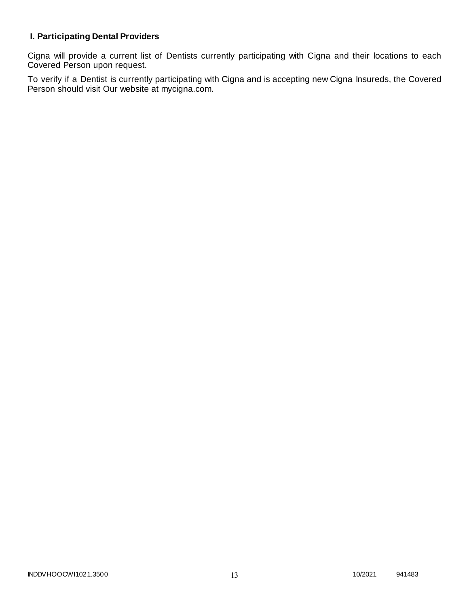# **I. Participating Dental Providers**

Cigna will provide a current list of Dentists currently participating with Cigna and their locations to each Covered Person upon request.

To verify if a Dentist is currently participating with Cigna and is accepting new Cigna Insureds, the Covered Person should visit Our website at mycigna.com.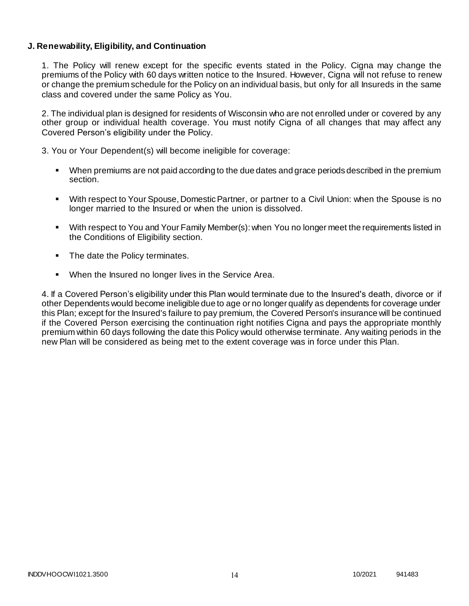### **J. Renewability, Eligibility, and Continuation**

1. The Policy will renew except for the specific events stated in the Policy. Cigna may change the premiums of the Policy with 60 days written notice to the Insured. However, Cigna will not refuse to renew or change the premium schedule for the Policy on an individual basis, but only for all Insureds in the same class and covered under the same Policy as You.

2. The individual plan is designed for residents of Wisconsin who are not enrolled under or covered by any other group or individual health coverage. You must notify Cigna of all changes that may affect any Covered Person's eligibility under the Policy.

3. You or Your Dependent(s) will become ineligible for coverage:

- When premiums are not paid according to the due dates and grace periods described in the premium section.
- With respect to Your Spouse, Domestic Partner, or partner to a Civil Union: when the Spouse is no longer married to the Insured or when the union is dissolved.
- With respect to You and Your Family Member(s): when You no longer meet the requirements listed in the Conditions of Eligibility section.
- The date the Policy terminates.
- When the Insured no longer lives in the Service Area.

4. If a Covered Person's eligibility under this Plan would terminate due to the Insured's death, divorce or if other Dependents would become ineligible due to age or no longer qualify as dependents for coverage under this Plan; except for the Insured's failure to pay premium, the Covered Person's insurance will be continued if the Covered Person exercising the continuation right notifies Cigna and pays the appropriate monthly premium within 60 days following the date this Policy would otherwise terminate. Any waiting periods in the new Plan will be considered as being met to the extent coverage was in force under this Plan.